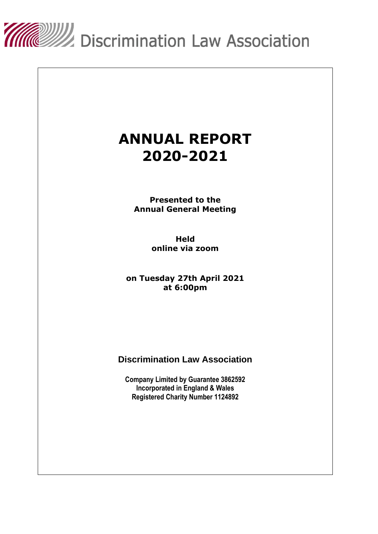

# **ANNUAL REPORT 2020-2021**

**Presented to the Annual General Meeting**

> **Held online via zoom**

**on Tuesday 27th April 2021 at 6:00pm**

**Discrimination Law Association**

**Company Limited by Guarantee 3862592 Incorporated in England & Wales Registered Charity Number 1124892**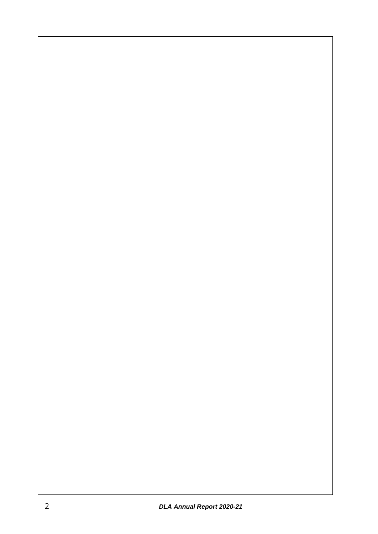*DLA Annual Report 2020-21*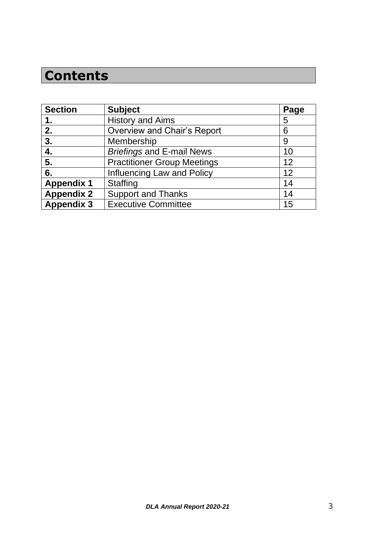# **Contents**

| <b>Section</b>    | <b>Subject</b>                     | Page |
|-------------------|------------------------------------|------|
| 1.                | <b>History and Aims</b>            | 5    |
| 2.                | <b>Overview and Chair's Report</b> | 6    |
| 3.                | Membership                         | 9    |
| 4.                | <b>Briefings and E-mail News</b>   | 10   |
| 5.                | <b>Practitioner Group Meetings</b> | 12   |
| 6.                | Influencing Law and Policy         | 12   |
| <b>Appendix 1</b> | <b>Staffing</b>                    | 14   |
| <b>Appendix 2</b> | <b>Support and Thanks</b>          | 14   |
| <b>Appendix 3</b> | <b>Executive Committee</b>         | 15   |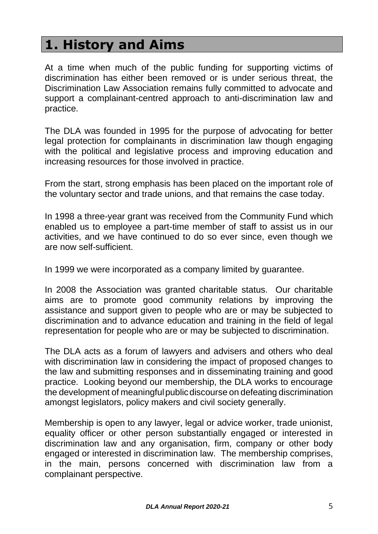### **1. History and Aims**

At a time when much of the public funding for supporting victims of discrimination has either been removed or is under serious threat, the Discrimination Law Association remains fully committed to advocate and support a complainant-centred approach to anti-discrimination law and practice.

The DLA was founded in 1995 for the purpose of advocating for better legal protection for complainants in discrimination law though engaging with the political and legislative process and improving education and increasing resources for those involved in practice.

From the start, strong emphasis has been placed on the important role of the voluntary sector and trade unions, and that remains the case today.

In 1998 a three-year grant was received from the Community Fund which enabled us to employee a part-time member of staff to assist us in our activities, and we have continued to do so ever since, even though we are now self-sufficient.

In 1999 we were incorporated as a company limited by guarantee.

In 2008 the Association was granted charitable status. Our charitable aims are to promote good community relations by improving the assistance and support given to people who are or may be subjected to discrimination and to advance education and training in the field of legal representation for people who are or may be subjected to discrimination.

The DLA acts as a forum of lawyers and advisers and others who deal with discrimination law in considering the impact of proposed changes to the law and submitting responses and in disseminating training and good practice. Looking beyond our membership, the DLA works to encourage the development of meaningful public discourse on defeating discrimination amongst legislators, policy makers and civil society generally.

Membership is open to any lawyer, legal or advice worker, trade unionist, equality officer or other person substantially engaged or interested in discrimination law and any organisation, firm, company or other body engaged or interested in discrimination law. The membership comprises, in the main, persons concerned with discrimination law from a complainant perspective.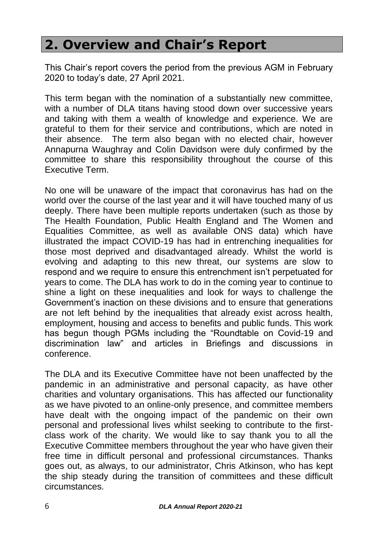## **2. Overview and Chair's Report**

This Chair's report covers the period from the previous AGM in February 2020 to today's date, 27 April 2021.

This term began with the nomination of a substantially new committee, with a number of DLA titans having stood down over successive years and taking with them a wealth of knowledge and experience. We are grateful to them for their service and contributions, which are noted in their absence. The term also began with no elected chair, however Annapurna Waughray and Colin Davidson were duly confirmed by the committee to share this responsibility throughout the course of this Executive Term.

No one will be unaware of the impact that coronavirus has had on the world over the course of the last year and it will have touched many of us deeply. There have been multiple reports undertaken (such as those by The Health Foundation, Public Health England and The Women and Equalities Committee, as well as available ONS data) which have illustrated the impact COVID-19 has had in entrenching inequalities for those most deprived and disadvantaged already. Whilst the world is evolving and adapting to this new threat, our systems are slow to respond and we require to ensure this entrenchment isn't perpetuated for years to come. The DLA has work to do in the coming year to continue to shine a light on these inequalities and look for ways to challenge the Government's inaction on these divisions and to ensure that generations are not left behind by the inequalities that already exist across health, employment, housing and access to benefits and public funds. This work has begun though PGMs including the "Roundtable on Covid-19 and discrimination law" and articles in Briefings and discussions in conference.

The DLA and its Executive Committee have not been unaffected by the pandemic in an administrative and personal capacity, as have other charities and voluntary organisations. This has affected our functionality as we have pivoted to an online-only presence, and committee members have dealt with the ongoing impact of the pandemic on their own personal and professional lives whilst seeking to contribute to the firstclass work of the charity. We would like to say thank you to all the Executive Committee members throughout the year who have given their free time in difficult personal and professional circumstances. Thanks goes out, as always, to our administrator, Chris Atkinson, who has kept the ship steady during the transition of committees and these difficult circumstances.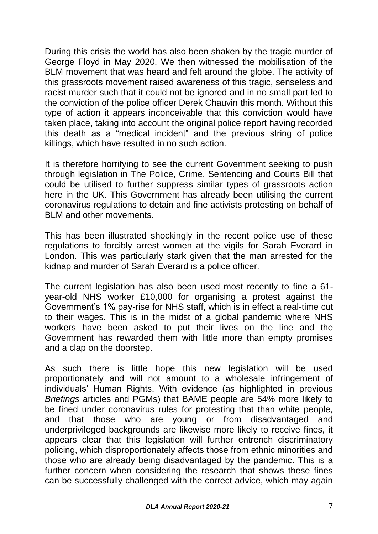During this crisis the world has also been shaken by the tragic murder of George Floyd in May 2020. We then witnessed the mobilisation of the BLM movement that was heard and felt around the globe. The activity of this grassroots movement raised awareness of this tragic, senseless and racist murder such that it could not be ignored and in no small part led to the conviction of the police officer Derek Chauvin this month. Without this type of action it appears inconceivable that this conviction would have taken place, taking into account the original police report having recorded this death as a "medical incident" and the previous string of police killings, which have resulted in no such action.

It is therefore horrifying to see the current Government seeking to push through legislation in The Police, Crime, Sentencing and Courts Bill that could be utilised to further suppress similar types of grassroots action here in the UK. This Government has already been utilising the current coronavirus regulations to detain and fine activists protesting on behalf of BLM and other movements.

This has been illustrated shockingly in the recent police use of these regulations to forcibly arrest women at the vigils for Sarah Everard in London. This was particularly stark given that the man arrested for the kidnap and murder of Sarah Everard is a police officer.

The current legislation has also been used most recently to fine a 61 year-old NHS worker £10,000 for organising a protest against the Government's 1% pay-rise for NHS staff, which is in effect a real-time cut to their wages. This is in the midst of a global pandemic where NHS workers have been asked to put their lives on the line and the Government has rewarded them with little more than empty promises and a clap on the doorstep.

As such there is little hope this new legislation will be used proportionately and will not amount to a wholesale infringement of individuals' Human Rights. With evidence (as highlighted in previous *Briefings* articles and PGMs) that BAME people are 54% more likely to be fined under coronavirus rules for protesting that than white people, and that those who are young or from disadvantaged and underprivileged backgrounds are likewise more likely to receive fines, it appears clear that this legislation will further entrench discriminatory policing, which disproportionately affects those from ethnic minorities and those who are already being disadvantaged by the pandemic. This is a further concern when considering the research that shows these fines can be successfully challenged with the correct advice, which may again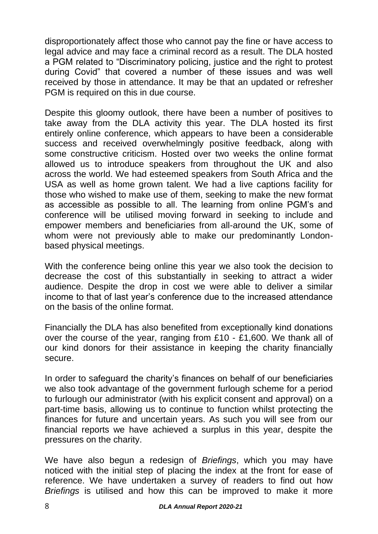disproportionately affect those who cannot pay the fine or have access to legal advice and may face a criminal record as a result. The DLA hosted a PGM related to "Discriminatory policing, justice and the right to protest during Covid" that covered a number of these issues and was well received by those in attendance. It may be that an updated or refresher PGM is required on this in due course.

Despite this gloomy outlook, there have been a number of positives to take away from the DLA activity this year. The DLA hosted its first entirely online conference, which appears to have been a considerable success and received overwhelmingly positive feedback, along with some constructive criticism. Hosted over two weeks the online format allowed us to introduce speakers from throughout the UK and also across the world. We had esteemed speakers from South Africa and the USA as well as home grown talent. We had a live captions facility for those who wished to make use of them, seeking to make the new format as accessible as possible to all. The learning from online PGM's and conference will be utilised moving forward in seeking to include and empower members and beneficiaries from all-around the UK, some of whom were not previously able to make our predominantly Londonbased physical meetings.

With the conference being online this year we also took the decision to decrease the cost of this substantially in seeking to attract a wider audience. Despite the drop in cost we were able to deliver a similar income to that of last year's conference due to the increased attendance on the basis of the online format.

Financially the DLA has also benefited from exceptionally kind donations over the course of the year, ranging from £10 - £1,600. We thank all of our kind donors for their assistance in keeping the charity financially secure.

In order to safeguard the charity's finances on behalf of our beneficiaries we also took advantage of the government furlough scheme for a period to furlough our administrator (with his explicit consent and approval) on a part-time basis, allowing us to continue to function whilst protecting the finances for future and uncertain years. As such you will see from our financial reports we have achieved a surplus in this year, despite the pressures on the charity.

We have also begun a redesign of *Briefings*, which you may have noticed with the initial step of placing the index at the front for ease of reference. We have undertaken a survey of readers to find out how *Briefings* is utilised and how this can be improved to make it more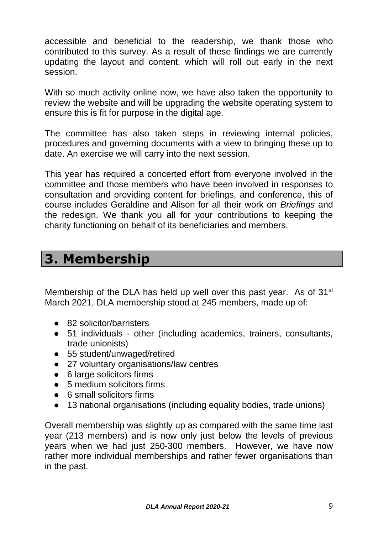accessible and beneficial to the readership, we thank those who contributed to this survey. As a result of these findings we are currently updating the layout and content, which will roll out early in the next session.

With so much activity online now, we have also taken the opportunity to review the website and will be upgrading the website operating system to ensure this is fit for purpose in the digital age.

The committee has also taken steps in reviewing internal policies, procedures and governing documents with a view to bringing these up to date. An exercise we will carry into the next session.

This year has required a concerted effort from everyone involved in the committee and those members who have been involved in responses to consultation and providing content for briefings, and conference, this of course includes Geraldine and Alison for all their work on *Briefings* and the redesign. We thank you all for your contributions to keeping the charity functioning on behalf of its beneficiaries and members.

### **3. Membership**

Membership of the DLA has held up well over this past year. As of 31<sup>st</sup> March 2021, DLA membership stood at 245 members, made up of:

- 82 solicitor/barristers
- 51 individuals other (including academics, trainers, consultants, trade unionists)
- 55 student/unwaged/retired
- 27 voluntary organisations/law centres
- 6 large solicitors firms
- 5 medium solicitors firms
- 6 small solicitors firms
- 13 national organisations (including equality bodies, trade unions)

Overall membership was slightly up as compared with the same time last year (213 members) and is now only just below the levels of previous years when we had just 250-300 members. However, we have now rather more individual memberships and rather fewer organisations than in the past.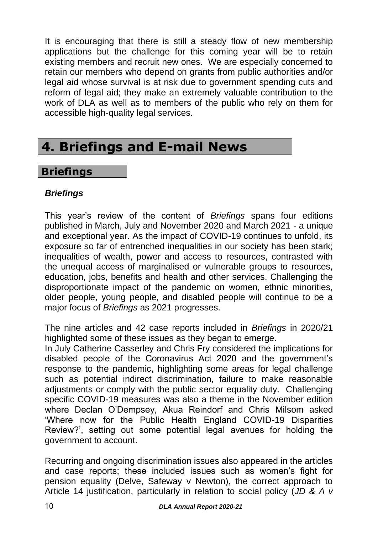It is encouraging that there is still a steady flow of new membership applications but the challenge for this coming year will be to retain existing members and recruit new ones. We are especially concerned to retain our members who depend on grants from public authorities and/or legal aid whose survival is at risk due to government spending cuts and reform of legal aid; they make an extremely valuable contribution to the work of DLA as well as to members of the public who rely on them for accessible high-quality legal services.

## **4. Briefings and E-mail News**

#### **Briefings**

#### *Briefings*

This year's review of the content of *Briefings* spans four editions published in March, July and November 2020 and March 2021 - a unique and exceptional year. As the impact of COVID-19 continues to unfold, its exposure so far of entrenched inequalities in our society has been stark; inequalities of wealth, power and access to resources, contrasted with the unequal access of marginalised or vulnerable groups to resources, education, jobs, benefits and health and other services. Challenging the disproportionate impact of the pandemic on women, ethnic minorities, older people, young people, and disabled people will continue to be a major focus of *Briefings* as 2021 progresses.

The nine articles and 42 case reports included in *Briefings* in 2020/21 highlighted some of these issues as they began to emerge.

In July Catherine Casserley and Chris Fry considered the implications for disabled people of the Coronavirus Act 2020 and the government's response to the pandemic, highlighting some areas for legal challenge such as potential indirect discrimination, failure to make reasonable adjustments or comply with the public sector equality duty. Challenging specific COVID-19 measures was also a theme in the November edition where Declan O'Dempsey, Akua Reindorf and Chris Milsom asked 'Where now for the Public Health England COVID-19 Disparities Review?', setting out some potential legal avenues for holding the government to account.

Recurring and ongoing discrimination issues also appeared in the articles and case reports; these included issues such as women's fight for pension equality (Delve, Safeway v Newton), the correct approach to Article 14 justification, particularly in relation to social policy (*JD & A v*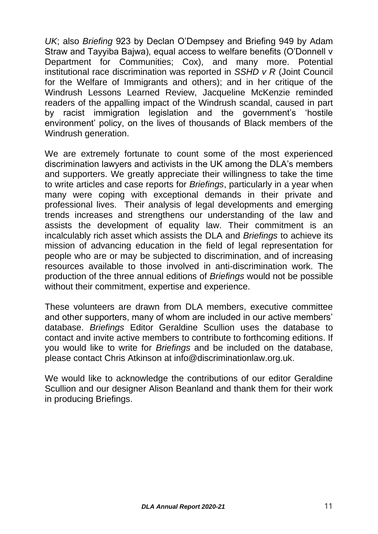*UK*; also *Briefing* 923 by Declan O'Dempsey and Briefing 949 by Adam Straw and Tayyiba Bajwa), equal access to welfare benefits (O'Donnell v Department for Communities; Cox), and many more. Potential institutional race discrimination was reported in *SSHD v R* (Joint Council for the Welfare of Immigrants and others); and in her critique of the Windrush Lessons Learned Review, Jacqueline McKenzie reminded readers of the appalling impact of the Windrush scandal, caused in part by racist immigration legislation and the government's 'hostile environment' policy, on the lives of thousands of Black members of the Windrush generation.

We are extremely fortunate to count some of the most experienced discrimination lawyers and activists in the UK among the DLA's members and supporters. We greatly appreciate their willingness to take the time to write articles and case reports for *Briefings*, particularly in a year when many were coping with exceptional demands in their private and professional lives. Their analysis of legal developments and emerging trends increases and strengthens our understanding of the law and assists the development of equality law. Their commitment is an incalculably rich asset which assists the DLA and *Briefings* to achieve its mission of advancing education in the field of legal representation for people who are or may be subjected to discrimination, and of increasing resources available to those involved in anti-discrimination work. The production of the three annual editions of *Briefings* would not be possible without their commitment, expertise and experience.

These volunteers are drawn from DLA members, executive committee and other supporters, many of whom are included in our active members' database. *Briefings* Editor Geraldine Scullion uses the database to contact and invite active members to contribute to forthcoming editions. If you would like to write for *Briefings* and be included on the database, please contact Chris Atkinson at info@discriminationlaw.org.uk.

We would like to acknowledge the contributions of our editor Geraldine Scullion and our designer Alison Beanland and thank them for their work in producing Briefings.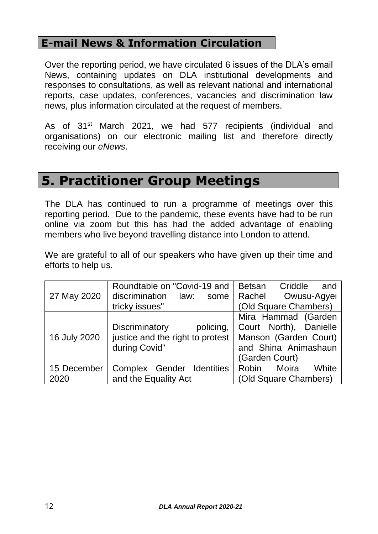#### **E-mail News & Information Circulation**

Over the reporting period, we have circulated 6 issues of the DLA's email News, containing updates on DLA institutional developments and responses to consultations, as well as relevant national and international reports, case updates, conferences, vacancies and discrimination law news, plus information circulated at the request of members.

As of 31<sup>st</sup> March 2021, we had 577 recipients (individual and organisations) on our electronic mailing list and therefore directly receiving our *eNews*.

### **5. Practitioner Group Meetings**

The DLA has continued to run a programme of meetings over this reporting period. Due to the pandemic, these events have had to be run online via zoom but this has had the added advantage of enabling members who live beyond travelling distance into London to attend.

We are grateful to all of our speakers who have given up their time and efforts to help us.

|              | Roundtable on "Covid-19 and      | Betsan Criddle<br>and          |  |  |
|--------------|----------------------------------|--------------------------------|--|--|
| 27 May 2020  | discrimination<br>law:<br>some   | Rachel Owusu-Agyei             |  |  |
|              | tricky issues"                   | (Old Square Chambers)          |  |  |
|              |                                  | Mira Hammad (Garden            |  |  |
|              | Discriminatory<br>policing,      | Court North), Danielle         |  |  |
| 16 July 2020 | justice and the right to protest | Manson (Garden Court)          |  |  |
|              | during Covid"                    | and Shina Animashaun           |  |  |
|              |                                  | (Garden Court)                 |  |  |
| 15 December  | Complex Gender Identities        | Robin<br>Moira<br><b>White</b> |  |  |
| 2020         | and the Equality Act             | (Old Square Chambers)          |  |  |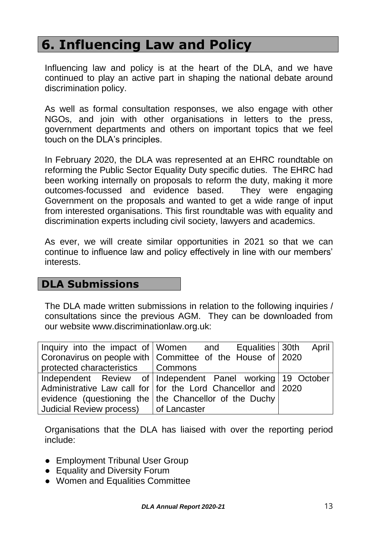## **6. Influencing Law and Policy**

Influencing law and policy is at the heart of the DLA, and we have continued to play an active part in shaping the national debate around discrimination policy.

As well as formal consultation responses, we also engage with other NGOs, and join with other organisations in letters to the press, government departments and others on important topics that we feel touch on the DLA's principles.

In February 2020, the DLA was represented at an EHRC roundtable on reforming the Public Sector Equality Duty specific duties. The EHRC had been working internally on proposals to reform the duty, making it more outcomes-focussed and evidence based. They were engaging Government on the proposals and wanted to get a wide range of input from interested organisations. This first roundtable was with equality and discrimination experts including civil society, lawyers and academics.

As ever, we will create similar opportunities in 2021 so that we can continue to influence law and policy effectively in line with our members' interests.

#### **DLA Submissions**

The DLA made written submissions in relation to the following inquiries / consultations since the previous AGM. They can be downloaded from our website www.discriminationlaw.org.uk:

| Inquiry into the impact of Women and Equalities 30th April |                                                              |  |  |
|------------------------------------------------------------|--------------------------------------------------------------|--|--|
| Coronavirus on people with Committee of the House of 2020  |                                                              |  |  |
| protected characteristics   Commons                        |                                                              |  |  |
| Independent Review of Independent Panel working 19 October |                                                              |  |  |
|                                                            | Administrative Law call for for the Lord Chancellor and 2020 |  |  |
|                                                            | evidence (questioning the $ $ the Chancellor of the Duchy    |  |  |
| Judicial Review process)   of Lancaster                    |                                                              |  |  |

Organisations that the DLA has liaised with over the reporting period include:

- Employment Tribunal User Group
- Equality and Diversity Forum
- Women and Equalities Committee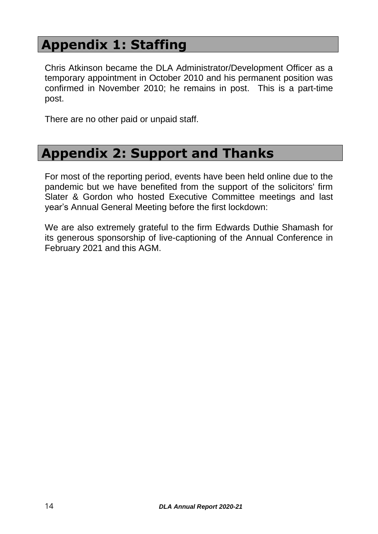### **Appendix 1: Staffing**

Chris Atkinson became the DLA Administrator/Development Officer as a temporary appointment in October 2010 and his permanent position was confirmed in November 2010; he remains in post. This is a part-time post.

There are no other paid or unpaid staff.

### **Appendix 2: Support and Thanks**

For most of the reporting period, events have been held online due to the pandemic but we have benefited from the support of the solicitors' firm Slater & Gordon who hosted Executive Committee meetings and last year's Annual General Meeting before the first lockdown:

We are also extremely grateful to the firm Edwards Duthie Shamash for its generous sponsorship of live-captioning of the Annual Conference in February 2021 and this AGM.